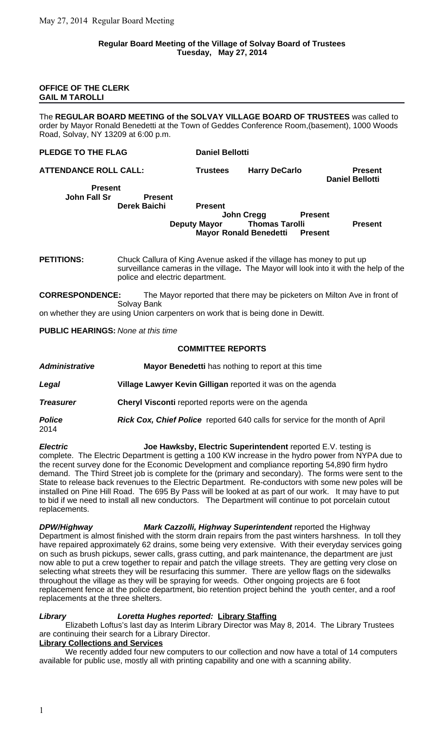### **OFFICE OF THE CLERK GAIL M TAROLLI**

The **REGULAR BOARD MEETING of the SOLVAY VILLAGE BOARD OF TRUSTEES** was called to order by Mayor Ronald Benedetti at the Town of Geddes Conference Room,(basement), 1000 Woods Road, Solvay, NY 13209 at 6:00 p.m.

### **PLEDGE TO THE FLAG Daniel Bellotti**

**ATTENDANCE ROLL CALL: Trustees Harry DeCarlo Present Daniel Bellotti**

**Present John Fall Sr Present**

### **Derek Baichi Present John Creag Present Deputy Mayor Thomas Tarolli Present Mayor Ronald Benedetti Present**

**PETITIONS:** Chuck Callura of King Avenue asked if the village has money to put up surveillance cameras in the village**.** The Mayor will look into it with the help of the police and electric department.

**CORRESPONDENCE:** The Mayor reported that there may be picketers on Milton Ave in front of Solvay Bank

on whether they are using Union carpenters on work that is being done in Dewitt.

# **PUBLIC HEARINGS:** *None at this time*

# **COMMITTEE REPORTS**

| <b>Administrative</b> | Mayor Benedetti has nothing to report at this time                                  |
|-----------------------|-------------------------------------------------------------------------------------|
| Legal                 | Village Lawyer Kevin Gilligan reported it was on the agenda                         |
| <b>Treasurer</b>      | Cheryl Visconti reported reports were on the agenda                                 |
| <b>Police</b><br>2014 | <b>Rick Cox, Chief Police</b> reported 640 calls for service for the month of April |

*Electric* **Joe Hawksby, Electric Superintendent** reported E.V. testing is complete. The Electric Department is getting a 100 KW increase in the hydro power from NYPA due to the recent survey done for the Economic Development and compliance reporting 54,890 firm hydro demand. The Third Street job is complete for the (primary and secondary). The forms were sent to the State to release back revenues to the Electric Department. Re-conductors with some new poles will be installed on Pine Hill Road. The 695 By Pass will be looked at as part of our work. It may have to put to bid if we need to install all new conductors. The Department will continue to pot porcelain cutout replacements.

*DPW/Highway Mark Cazzolli, Highway Superintendent* reported the Highway Department is almost finished with the storm drain repairs from the past winters harshness. In toll they have repaired approximately 62 drains, some being very extensive. With their everyday services going on such as brush pickups, sewer calls, grass cutting, and park maintenance, the department are just now able to put a crew together to repair and patch the village streets. They are getting very close on selecting what streets they will be resurfacing this summer. There are yellow flags on the sidewalks throughout the village as they will be spraying for weeds. Other ongoing projects are 6 foot replacement fence at the police department, bio retention project behind the youth center, and a roof replacements at the three shelters.

# *Library Loretta Hughes reported:* **Library Staffing**

Elizabeth Loftus's last day as Interim Library Director was May 8, 2014. The Library Trustees are continuing their search for a Library Director.

## **Library Collections and Services**

We recently added four new computers to our collection and now have a total of 14 computers available for public use, mostly all with printing capability and one with a scanning ability.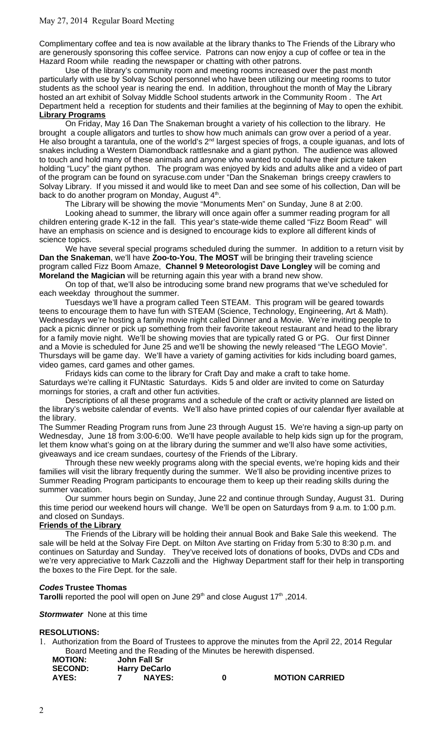# May 27, 2014 Regular Board Meeting

Complimentary coffee and tea is now available at the library thanks to The Friends of the Library who are generously sponsoring this coffee service. Patrons can now enjoy a cup of coffee or tea in the Hazard Room while reading the newspaper or chatting with other patrons.

Use of the library's community room and meeting rooms increased over the past month particularly with use by Solvay School personnel who have been utilizing our meeting rooms to tutor students as the school year is nearing the end. In addition, throughout the month of May the Library hosted an art exhibit of Solvay Middle School students artwork in the Community Room . The Art Department held a reception for students and their families at the beginning of May to open the exhibit. **Library Programs**

On Friday, May 16 Dan The Snakeman brought a variety of his collection to the library. He brought a couple alligators and turtles to show how much animals can grow over a period of a year. He also brought a tarantula, one of the world's 2<sup>nd</sup> largest species of frogs, a couple iguanas, and lots of snakes including a Western Diamondback rattlesnake and a giant python. The audience was allowed to touch and hold many of these animals and anyone who wanted to could have their picture taken holding "Lucy" the giant python. The program was enjoyed by kids and adults alike and a video of part of the program can be found on syracuse.com under "Dan the Snakeman brings creepy crawlers to Solvay Library. If you missed it and would like to meet Dan and see some of his collection, Dan will be back to do another program on Monday, August 4<sup>th</sup>.

The Library will be showing the movie "Monuments Men" on Sunday, June 8 at 2:00.

Looking ahead to summer, the library will once again offer a summer reading program for all children entering grade K-12 in the fall. This year's state-wide theme called "Fizz Boom Read" will have an emphasis on science and is designed to encourage kids to explore all different kinds of science topics.

We have several special programs scheduled during the summer. In addition to a return visit by **Dan the Snakeman**, we'll have **Zoo-to-You**, **The MOST** will be bringing their traveling science program called Fizz Boom Amaze, **Channel 9 Meteorologist Dave Longley** will be coming and **Moreland the Magician** will be returning again this year with a brand new show.

On top of that, we'll also be introducing some brand new programs that we've scheduled for each weekday throughout the summer.

Tuesdays we'll have a program called Teen STEAM. This program will be geared towards teens to encourage them to have fun with STEAM (Science, Technology, Engineering, Art & Math). Wednesdays we're hosting a family movie night called Dinner and a Movie. We're inviting people to pack a picnic dinner or pick up something from their favorite takeout restaurant and head to the library for a family movie night. We'll be showing movies that are typically rated G or PG. Our first Dinner and a Movie is scheduled for June 25 and we'll be showing the newly released "The LEGO Movie". Thursdays will be game day. We'll have a variety of gaming activities for kids including board games, video games, card games and other games.

Fridays kids can come to the library for Craft Day and make a craft to take home. Saturdays we're calling it FUNtastic Saturdays. Kids 5 and older are invited to come on Saturday mornings for stories, a craft and other fun activities.

Descriptions of all these programs and a schedule of the craft or activity planned are listed on the library's website calendar of events. We'll also have printed copies of our calendar flyer available at the library.

The Summer Reading Program runs from June 23 through August 15. We're having a sign-up party on Wednesday, June 18 from 3:00-6:00. We'll have people available to help kids sign up for the program, let them know what's going on at the library during the summer and we'll also have some activities, giveaways and ice cream sundaes, courtesy of the Friends of the Library.

Through these new weekly programs along with the special events, we're hoping kids and their families will visit the library frequently during the summer. We'll also be providing incentive prizes to Summer Reading Program participants to encourage them to keep up their reading skills during the summer vacation.

Our summer hours begin on Sunday, June 22 and continue through Sunday, August 31. During this time period our weekend hours will change. We'll be open on Saturdays from 9 a.m. to 1:00 p.m. and closed on Sundays.

# **Friends of the Library**

The Friends of the Library will be holding their annual Book and Bake Sale this weekend. The sale will be held at the Solvay Fire Dept. on Milton Ave starting on Friday from 5:30 to 8:30 p.m. and continues on Saturday and Sunday. They've received lots of donations of books, DVDs and CDs and we're very appreciative to Mark Cazzolli and the Highway Department staff for their help in transporting the boxes to the Fire Dept. for the sale.

### *Codes* **Trustee Thomas**

Tarolli reported the pool will open on June 29<sup>th</sup> and close August 17<sup>th</sup>, 2014.

*Stormwater* None at this time

## **RESOLUTIONS:**

1. Authorization from the Board of Trustees to approve the minutes from the April 22, 2014 Regular Board Meeting and the Reading of the Minutes be herewith dispensed.

| <b>MOTION:</b> | John Fall Sr         |   |                       |
|----------------|----------------------|---|-----------------------|
| <b>SECOND:</b> | <b>Harry DeCarlo</b> |   |                       |
| <b>AYES:</b>   | <b>NAYES:</b>        | 0 | <b>MOTION CARRIED</b> |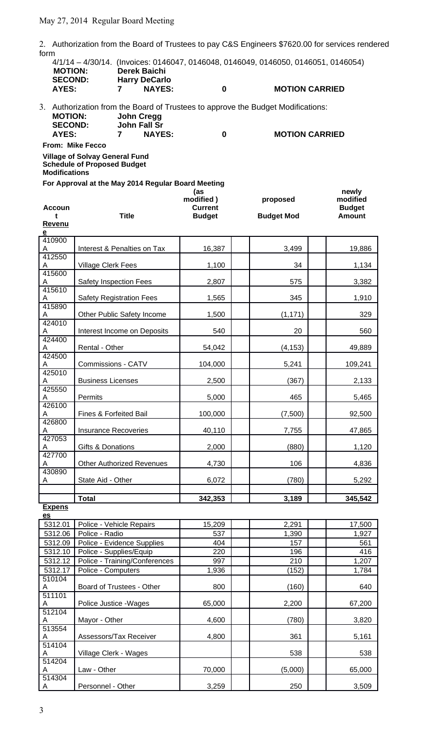2. Authorization from the Board of Trustees to pay C&S Engineers \$7620.00 for services rendered form

| <b>MOTION:</b><br><b>SECOND:</b>                                                                    | 4/1/14 - 4/30/14. (Invoices: 0146047, 0146048, 0146049, 0146050, 0146051, 0146054)<br>Derek Baichi<br><b>Harry DeCarlo</b> |               |                  |   |                                                                                  |  |
|-----------------------------------------------------------------------------------------------------|----------------------------------------------------------------------------------------------------------------------------|---------------|------------------|---|----------------------------------------------------------------------------------|--|
| AYES:                                                                                               |                                                                                                                            | <b>NAYES:</b> |                  | 0 | <b>MOTION CARRIED</b>                                                            |  |
| <b>MOTION:</b>                                                                                      | John Cregg                                                                                                                 |               |                  |   | 3. Authorization from the Board of Trustees to approve the Budget Modifications: |  |
| <b>SECOND:</b><br>AYES:                                                                             | <b>John Fall Sr</b><br>7                                                                                                   | <b>NAYES:</b> |                  | 0 | <b>MOTION CARRIED</b>                                                            |  |
| <b>From: Mike Fecco</b>                                                                             |                                                                                                                            |               |                  |   |                                                                                  |  |
| <b>Village of Solvay General Fund</b><br><b>Schedule of Proposed Budget</b><br><b>Modifications</b> |                                                                                                                            |               |                  |   |                                                                                  |  |
| For Approval at the May 2014 Regular Board Meeting                                                  |                                                                                                                            |               | (as<br>modified) |   | newly<br>modified<br>proposed                                                    |  |

**Accoun t Title Current Budget Budget Mod Budget Amount Revenu e** 410900 A | Interest & Penalties on Tax | 16,387 | | 3,499 | | 19,886 412550 A | Village Clerk Fees | 1,100 | | 34 | 1,134 415600 A Safety Inspection Fees 2,807 | 575 | 3,382 415610 A Safety Registration Fees | 1,565 | 345 | 1,910 415890 A Other Public Safety Income 1,500 (1,171) 329 424010 A | Interest Income on Deposits | 540 | 20 | 20 | 560 424400 A Rental - Other 54,042 (4,153) 49,889 424500 A Commissions - CATV 104,000 | 5,241 | 109,241 425010 A Business Licenses | 2,500 | (367) | 2,133 425550 A Permits 5,000 465 5,465 426100 A | Fines & Forfeited Bail | 100,000 | | (7,500) | 92,500 426800 A | Insurance Recoveries | 40,110 | 7,755 | 47,865 427053 A Gifts & Donations 2,000 (880) 1,120 427700 A Other Authorized Revenues 4,730 106 4,836 430890 A State Aid - Other 1990 6,072 (780) 6,072 (780) **Total 342,353** 342,353 3,189 345,542

**Expens es**

| 5312.01 | Police - Vehicle Repairs      | 15,209 | 2,291   | 17,500 |
|---------|-------------------------------|--------|---------|--------|
| 5312.06 | Police - Radio                | 537    | 1,390   | 1,927  |
| 5312.09 | Police - Evidence Supplies    | 404    | 157     | 561    |
| 5312.10 | Police - Supplies/Equip       | 220    | 196     | 416    |
| 5312.12 | Police - Training/Conferences | 997    | 210     | 1,207  |
| 5312.17 | Police - Computers            | 1,936  | (152)   | 1,784  |
| 510104  |                               |        |         |        |
| A       | Board of Trustees - Other     | 800    | (160)   | 640    |
| 511101  |                               |        |         |        |
| A       | Police Justice - Wages        | 65,000 | 2,200   | 67,200 |
| 512104  |                               |        |         |        |
| A       | Mayor - Other                 | 4,600  | (780)   | 3,820  |
| 513554  |                               |        |         |        |
| A       | Assessors/Tax Receiver        | 4,800  | 361     | 5,161  |
| 514104  |                               |        |         |        |
| A       | Village Clerk - Wages         |        | 538     | 538    |
| 514204  |                               |        |         |        |
| A       | Law - Other                   | 70,000 | (5,000) | 65,000 |
| 514304  |                               |        |         |        |
| A       | Personnel - Other             | 3,259  | 250     | 3,509  |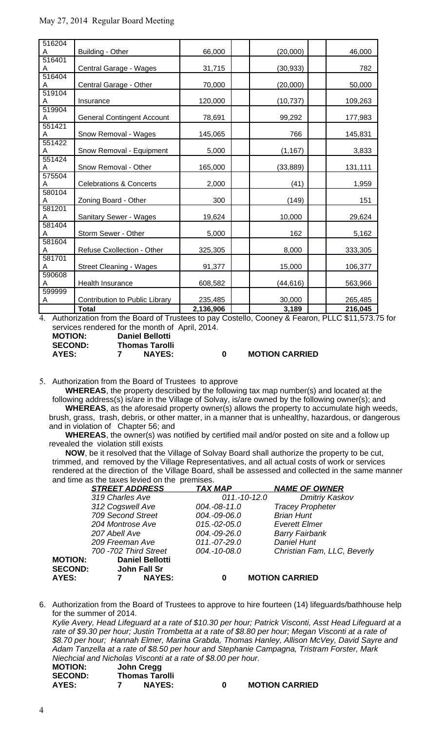| 516204      |                                    |           |           |         |
|-------------|------------------------------------|-----------|-----------|---------|
| A           | Building - Other                   | 66,000    | (20,000)  | 46,000  |
| 516401      |                                    |           |           |         |
| A<br>516404 | Central Garage - Wages             | 31,715    | (30, 933) | 782     |
| A           | Central Garage - Other             | 70,000    | (20,000)  | 50,000  |
| 519104      |                                    |           |           |         |
| A           | Insurance                          | 120,000   | (10, 737) | 109,263 |
| 519904      |                                    |           |           |         |
| A           | <b>General Contingent Account</b>  | 78,691    | 99,292    | 177,983 |
| 551421      |                                    |           |           |         |
| A           | Snow Removal - Wages               | 145,065   | 766       | 145,831 |
| 551422      |                                    |           |           |         |
| A           | Snow Removal - Equipment           | 5,000     | (1, 167)  | 3,833   |
| 551424<br>A | Snow Removal - Other               | 165,000   | (33, 889) | 131,111 |
| 575504      |                                    |           |           |         |
| A           | <b>Celebrations &amp; Concerts</b> | 2,000     | (41)      | 1,959   |
| 580104      |                                    |           |           |         |
| A           | Zoning Board - Other               | 300       | (149)     | 151     |
| 581201      |                                    |           |           |         |
| A           | Sanitary Sewer - Wages             | 19,624    | 10,000    | 29,624  |
| 581404      |                                    |           |           |         |
| A           | Storm Sewer - Other                | 5,000     | 162       | 5,162   |
| 581604      |                                    |           |           |         |
| A           | Refuse Cxollection - Other         | 325,305   | 8,000     | 333,305 |
| 581701      |                                    |           |           |         |
| A<br>590608 | <b>Street Cleaning - Wages</b>     | 91,377    | 15,000    | 106,377 |
| A           | Health Insurance                   | 608,582   | (44, 616) | 563,966 |
| 599999      |                                    |           |           |         |
| A           | Contribution to Public Library     | 235,485   | 30,000    | 265,485 |
|             | <b>Total</b>                       | 2,136,906 | 3,189     | 216,045 |

4. Authorization from the Board of Trustees to pay Costello, Cooney & Fearon, PLLC \$11,573.75 for services rendered for the month of April, 2014.

**MOTION: Daniel Bellotti**

**SECOND: Thomas Tarolli**

**AYES: 7 NAYES: 0 MOTION CARRIED**

5. Authorization from the Board of Trustees to approve

**WHEREAS**, the property described by the following tax map number(s) and located at the following address(s) is/are in the Village of Solvay, is/are owned by the following owner(s); and **WHEREAS**, as the aforesaid property owner(s) allows the property to accumulate high weeds,

brush, grass, trash, debris, or other matter, in a manner that is unhealthy, hazardous, or dangerous and in violation of Chapter 56; and

**WHEREAS**, the owner(s) was notified by certified mail and/or posted on site and a follow up revealed the violation still exists

**NOW**, be it resolved that the Village of Solvay Board shall authorize the property to be cut, trimmed, and removed by the Village Representatives, and all actual costs of work or services rendered at the direction of the Village Board, shall be assessed and collected in the same manner and time as the taxes levied on the premises.

|                | <b>STREET ADDRESS</b>  | <b>TAX MAP</b> | <b>NAME OF OWNER</b>        |
|----------------|------------------------|----------------|-----------------------------|
|                | 319 Charles Ave        | $011.-10-12.0$ | <b>Dmitriy Kaskov</b>       |
|                | 312 Cogswell Ave       | 004.-08-11.0   | <b>Tracey Propheter</b>     |
|                | 709 Second Street      | 004.-09-06.0   | <b>Brian Hunt</b>           |
|                | 204 Montrose Ave       | $015.-02-05.0$ | <b>Everett Elmer</b>        |
|                | 207 Abell Ave          | 004.-09-26.0   | <b>Barry Fairbank</b>       |
|                | 209 Freeman Ave        | 011.-07-29.0   | <b>Daniel Hunt</b>          |
|                | 700 - 702 Third Street | 004.-10-08.0   | Christian Fam, LLC, Beverly |
| <b>MOTION:</b> | <b>Daniel Bellotti</b> |                |                             |
| <b>SECOND:</b> | John Fall Sr           |                |                             |
| AYES:          | <b>NAYES:</b>          | 0              | <b>MOTION CARRIED</b>       |

6. Authorization from the Board of Trustees to approve to hire fourteen (14) lifeguards/bathhouse help for the summer of 2014.

*Kylie Avery, Head Lifeguard at a rate of \$10.30 per hour; Patrick Visconti, Asst Head Lifeguard at a rate of \$9.30 per hour; Justin Trombetta at a rate of \$8.80 per hour; Megan Visconti at a rate of \$8.70 per hour; Hannah Elmer, Marina Grabda, Thomas Hanley, Allison McVey, David Sayre and Adam Tanzella at a rate of \$8.50 per hour and Stephanie Campagna, Tristram Forster, Mark Niechcial and Nicholas Visconti at a rate of \$8.00 per hour.*

| <b>MOTION:</b> | John Cregg            |   |                       |
|----------------|-----------------------|---|-----------------------|
| <b>SECOND:</b> | <b>Thomas Tarolli</b> |   |                       |
| AYES:          | <b>NAYES:</b>         | n | <b>MOTION CARRIED</b> |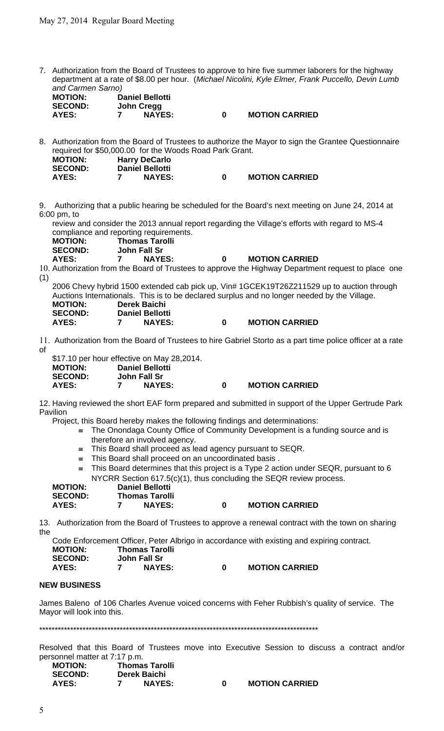7. Authorization from the Board of Trustees to approve to hire five summer laborers for the highway department at a rate of \$8.00 per hour. (*Michael Nicolini, Kyle Elmer, Frank Puccello, Devin Lumb and Carmen Sarno)*

| $\alpha$ . $\alpha$ . $\alpha$ . $\alpha$ . $\alpha$ . $\alpha$ . $\alpha$ . |            |                        |   |                       |
|------------------------------------------------------------------------------|------------|------------------------|---|-----------------------|
| <b>MOTION:</b>                                                               |            | <b>Daniel Bellotti</b> |   |                       |
| <b>SECOND:</b>                                                               | John Cregg |                        |   |                       |
| AYES:                                                                        |            | <b>NAYES:</b>          | 0 | <b>MOTION CARRIED</b> |

8. Authorization from the Board of Trustees to authorize the Mayor to sign the Grantee Questionnaire required for \$50,000.00 for the Woods Road Park Grant.

| <b>MOTION:</b> | <b>Harry DeCarlo</b>   |                       |
|----------------|------------------------|-----------------------|
| <b>SECOND:</b> | <b>Daniel Bellotti</b> |                       |
| AYES:          | <b>NAYES:</b>          | <b>MOTION CARRIED</b> |

9. Authorizing that a public hearing be scheduled for the Board's next meeting on June 24, 2014 at 6:00 pm, to

review and consider the 2013 annual report regarding the Village's efforts with regard to MS-4 compliance and reporting requirements.

| <b>MOTION:</b> | <b>Thomas Tarolli</b> |
|----------------|-----------------------|
| <b>SECOND:</b> | John Fall Sr          |
| <b>AYES:</b>   | <b>NAYES:</b><br>7    |

**AYES: 7 NAYES: 0 MOTION CARRIED**

10. Authorization from the Board of Trustees to approve the Highway Department request to place one (1)

2006 Chevy hybrid 1500 extended cab pick up, Vin# 1GCEK19T26Z211529 up to auction through Auctions Internationals. This is to be declared surplus and no longer needed by the Village. **MOTION: Derek Baichi SECOND: Daniel Bellotti AYES: 7 NAYES: 0 MOTION CARRIED**

11. Authorization from the Board of Trustees to hire Gabriel Storto as a part time police officer at a rate of

|                | \$17.10 per hour effective on May 28,2014. |   |                       |
|----------------|--------------------------------------------|---|-----------------------|
| <b>MOTION:</b> | <b>Daniel Bellotti</b>                     |   |                       |
| <b>SECOND:</b> | John Fall Sr                               |   |                       |
| AYES:          | <b>NAYES:</b>                              | n | <b>MOTION CARRIED</b> |

12. Having reviewed the short EAF form prepared and submitted in support of the Upper Gertrude Park Pavilion

Project, this Board hereby makes the following findings and determinations:

- $\leq$  The Onondaga County Office of Community Development is a funding source and is therefore an involved agency.
- This Board shall proceed as lead agency pursuant to SEQR.
- $\equiv$  This Board shall proceed on an uncoordinated basis.
- $\epsilon$  This Board determines that this project is a Type 2 action under SEOR, pursuant to 6 NYCRR Section 617.5(c)(1), thus concluding the SEQR review process.

| <b>MOTION:</b> | <b>Daniel Bellotti</b> |                       |
|----------------|------------------------|-----------------------|
| <b>SECOND:</b> | <b>Thomas Tarolli</b>  |                       |
| <b>AYES:</b>   | <b>NAYES:</b>          | <b>MOTION CARRIED</b> |

13. Authorization from the Board of Trustees to approve a renewal contract with the town on sharing the

Code Enforcement Officer, Peter Albrigo in accordance with existing and expiring contract. **MOTION: Thomas Tarolli SECOND: John Fall Sr AYES: 7 NAYES: 0 MOTION CARRIED**

### **NEW BUSINESS**

James Baleno of 106 Charles Avenue voiced concerns with Feher Rubbish's quality of service. The Mayor will look into this.

\*\*\*\*\*\*\*\*\*\*\*\*\*\*\*\*\*\*\*\*\*\*\*\*\*\*\*\*\*\*\*\*\*\*\*\*\*\*\*\*\*\*\*\*\*\*\*\*\*\*\*\*\*\*\*\*\*\*\*\*\*\*\*\*\*\*\*\*\*\*\*\*\*\*\*\*\*\*\*\*\*\*\*\*\*\*\*\*\*\*

Resolved that this Board of Trustees move into Executive Session to discuss a contract and/or personnel matter at 7:17 p.m.

| <b>MOTION:</b> | <b>Thomas Tarolli</b> |               |  |                       |  |  |
|----------------|-----------------------|---------------|--|-----------------------|--|--|
| <b>SECOND:</b> |                       | Derek Baichi  |  |                       |  |  |
| AYES:          |                       | <b>NAYES:</b> |  | <b>MOTION CARRIED</b> |  |  |